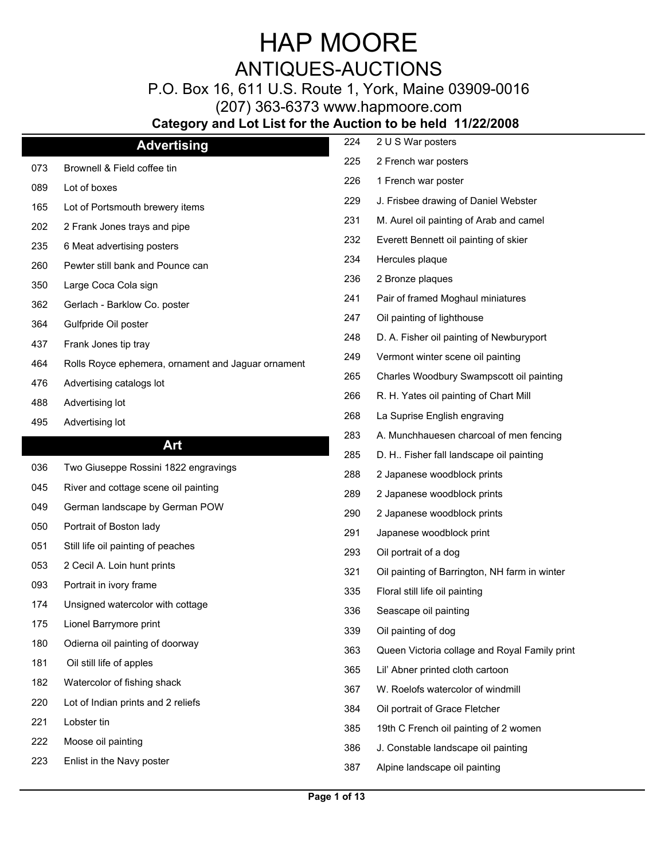P.O. Box 16, 611 U.S. Route 1, York, Maine 03909-0016

(207) 363-6373 www.hapmoore.com

|     | <b>Advertising</b>                                 | 224 | 2 U S War posters                             |
|-----|----------------------------------------------------|-----|-----------------------------------------------|
| 073 | Brownell & Field coffee tin                        | 225 | 2 French war posters                          |
| 089 | Lot of boxes                                       | 226 | 1 French war poster                           |
| 165 | Lot of Portsmouth brewery items                    | 229 | J. Frisbee drawing of Daniel Webster          |
| 202 | 2 Frank Jones trays and pipe                       | 231 | M. Aurel oil painting of Arab and camel       |
| 235 | 6 Meat advertising posters                         | 232 | Everett Bennett oil painting of skier         |
| 260 | Pewter still bank and Pounce can                   | 234 | Hercules plaque                               |
| 350 | Large Coca Cola sign                               | 236 | 2 Bronze plaques                              |
| 362 | Gerlach - Barklow Co. poster                       | 241 | Pair of framed Moghaul miniatures             |
| 364 | Gulfpride Oil poster                               | 247 | Oil painting of lighthouse                    |
| 437 | Frank Jones tip tray                               | 248 | D. A. Fisher oil painting of Newburyport      |
| 464 | Rolls Royce ephemera, ornament and Jaguar ornament | 249 | Vermont winter scene oil painting             |
| 476 | Advertising catalogs lot                           | 265 | Charles Woodbury Swampscott oil painting      |
| 488 | Advertising lot                                    | 266 | R. H. Yates oil painting of Chart Mill        |
| 495 | Advertising lot                                    | 268 | La Suprise English engraving                  |
|     |                                                    | 283 | A. Munchhauesen charcoal of men fencing       |
|     | <b>Art</b>                                         | 285 | D. H Fisher fall landscape oil painting       |
| 036 | Two Giuseppe Rossini 1822 engravings               | 288 | 2 Japanese woodblock prints                   |
| 045 | River and cottage scene oil painting               | 289 | 2 Japanese woodblock prints                   |
| 049 | German landscape by German POW                     | 290 | 2 Japanese woodblock prints                   |
| 050 | Portrait of Boston lady                            | 291 | Japanese woodblock print                      |
| 051 | Still life oil painting of peaches                 | 293 | Oil portrait of a dog                         |
| 053 | 2 Cecil A. Loin hunt prints                        | 321 | Oil painting of Barrington, NH farm in winter |
| 093 | Portrait in ivory frame                            | 335 | Floral still life oil painting                |
| 174 | Unsigned watercolor with cottage                   | 336 | Seascape oil painting                         |
| 175 | Lionel Barrymore print                             | 339 | Oil painting of dog                           |
| 180 | Odierna oil painting of doorway                    | 363 | Queen Victoria collage and Royal Family print |
| 181 | Oil still life of apples                           | 365 | Lil' Abner printed cloth cartoon              |
| 182 | Watercolor of fishing shack                        | 367 | W. Roelofs watercolor of windmill             |
| 220 | Lot of Indian prints and 2 reliefs                 | 384 | Oil portrait of Grace Fletcher                |
| 221 | Lobster tin                                        | 385 | 19th C French oil painting of 2 women         |
| 222 | Moose oil painting                                 | 386 | J. Constable landscape oil painting           |
| 223 | Enlist in the Navy poster                          | 387 | Alpine landscape oil painting                 |
|     |                                                    |     |                                               |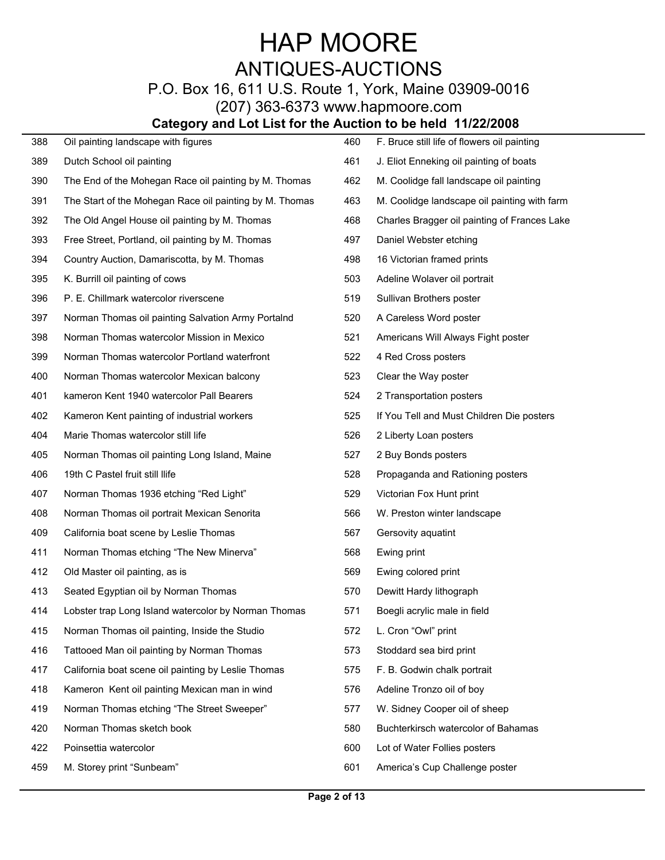P.O. Box 16, 611 U.S. Route 1, York, Maine 03909-0016

(207) 363-6373 www.hapmoore.com

| 388 | Oil painting landscape with figures                     | 460 | F. Bruce still life of flowers oil painting  |
|-----|---------------------------------------------------------|-----|----------------------------------------------|
| 389 | Dutch School oil painting                               | 461 | J. Eliot Enneking oil painting of boats      |
| 390 | The End of the Mohegan Race oil painting by M. Thomas   | 462 | M. Coolidge fall landscape oil painting      |
| 391 | The Start of the Mohegan Race oil painting by M. Thomas | 463 | M. Coolidge landscape oil painting with farm |
| 392 | The Old Angel House oil painting by M. Thomas           | 468 | Charles Bragger oil painting of Frances Lake |
| 393 | Free Street, Portland, oil painting by M. Thomas        | 497 | Daniel Webster etching                       |
| 394 | Country Auction, Damariscotta, by M. Thomas             | 498 | 16 Victorian framed prints                   |
| 395 | K. Burrill oil painting of cows                         | 503 | Adeline Wolaver oil portrait                 |
| 396 | P. E. Chillmark watercolor riverscene                   | 519 | Sullivan Brothers poster                     |
| 397 | Norman Thomas oil painting Salvation Army Portalnd      | 520 | A Careless Word poster                       |
| 398 | Norman Thomas watercolor Mission in Mexico              | 521 | Americans Will Always Fight poster           |
| 399 | Norman Thomas watercolor Portland waterfront            | 522 | 4 Red Cross posters                          |
| 400 | Norman Thomas watercolor Mexican balcony                | 523 | Clear the Way poster                         |
| 401 | kameron Kent 1940 watercolor Pall Bearers               | 524 | 2 Transportation posters                     |
| 402 | Kameron Kent painting of industrial workers             | 525 | If You Tell and Must Children Die posters    |
| 404 | Marie Thomas watercolor still life                      | 526 | 2 Liberty Loan posters                       |
| 405 | Norman Thomas oil painting Long Island, Maine           | 527 | 2 Buy Bonds posters                          |
| 406 | 19th C Pastel fruit still llife                         | 528 | Propaganda and Rationing posters             |
| 407 | Norman Thomas 1936 etching "Red Light"                  | 529 | Victorian Fox Hunt print                     |
| 408 | Norman Thomas oil portrait Mexican Senorita             | 566 | W. Preston winter landscape                  |
| 409 | California boat scene by Leslie Thomas                  | 567 | Gersovity aquatint                           |
| 411 | Norman Thomas etching "The New Minerva"                 | 568 | Ewing print                                  |
| 412 | Old Master oil painting, as is                          | 569 | Ewing colored print                          |
| 413 | Seated Egyptian oil by Norman Thomas                    | 570 | Dewitt Hardy lithograph                      |
| 414 | Lobster trap Long Island watercolor by Norman Thomas    | 571 | Boegli acrylic male in field                 |
| 415 | Norman Thomas oil painting, Inside the Studio           | 572 | L. Cron "Owl" print                          |
| 416 | Tattooed Man oil painting by Norman Thomas              | 573 | Stoddard sea bird print                      |
| 417 | California boat scene oil painting by Leslie Thomas     | 575 | F. B. Godwin chalk portrait                  |
| 418 | Kameron Kent oil painting Mexican man in wind           | 576 | Adeline Tronzo oil of boy                    |
| 419 | Norman Thomas etching "The Street Sweeper"              | 577 | W. Sidney Cooper oil of sheep                |
| 420 | Norman Thomas sketch book                               | 580 | Buchterkirsch watercolor of Bahamas          |
| 422 | Poinsettia watercolor                                   | 600 | Lot of Water Follies posters                 |
| 459 | M. Storey print "Sunbeam"                               | 601 | America's Cup Challenge poster               |
|     |                                                         |     |                                              |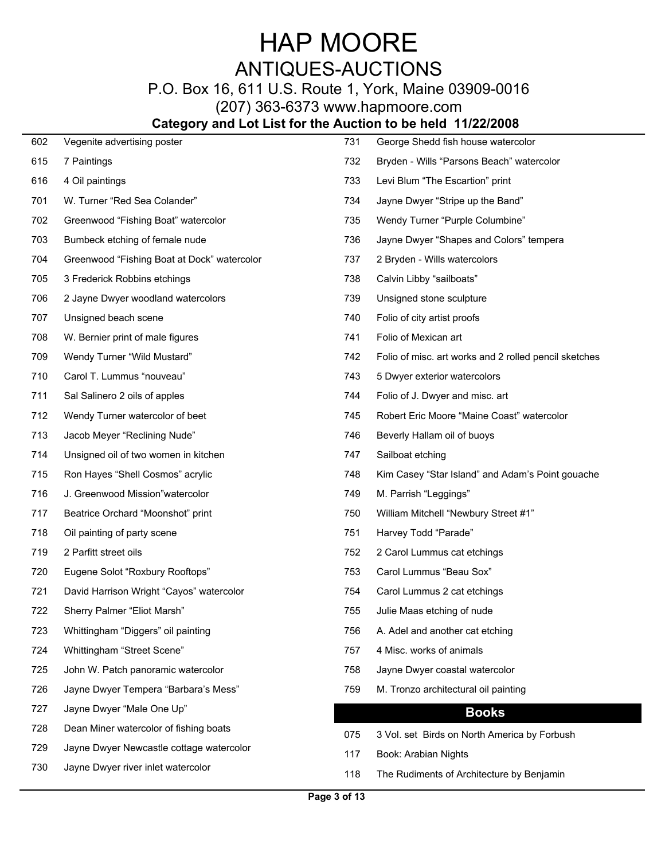### P.O. Box 16, 611 U.S. Route 1, York, Maine 03909-0016

(207) 363-6373 www.hapmoore.com

| 602 | Vegenite advertising poster                 | 731 | George Shedd fish house watercolor                    |
|-----|---------------------------------------------|-----|-------------------------------------------------------|
| 615 | 7 Paintings                                 | 732 | Bryden - Wills "Parsons Beach" watercolor             |
| 616 | 4 Oil paintings                             | 733 | Levi Blum "The Escartion" print                       |
| 701 | W. Turner "Red Sea Colander"                | 734 | Jayne Dwyer "Stripe up the Band"                      |
| 702 | Greenwood "Fishing Boat" watercolor         | 735 | Wendy Turner "Purple Columbine"                       |
| 703 | Bumbeck etching of female nude              | 736 | Jayne Dwyer "Shapes and Colors" tempera               |
| 704 | Greenwood "Fishing Boat at Dock" watercolor | 737 | 2 Bryden - Wills watercolors                          |
| 705 | 3 Frederick Robbins etchings                | 738 | Calvin Libby "sailboats"                              |
| 706 | 2 Jayne Dwyer woodland watercolors          | 739 | Unsigned stone sculpture                              |
| 707 | Unsigned beach scene                        | 740 | Folio of city artist proofs                           |
| 708 | W. Bernier print of male figures            | 741 | Folio of Mexican art                                  |
| 709 | Wendy Turner "Wild Mustard"                 | 742 | Folio of misc. art works and 2 rolled pencil sketches |
| 710 | Carol T. Lummus "nouveau"                   | 743 | 5 Dwyer exterior watercolors                          |
| 711 | Sal Salinero 2 oils of apples               | 744 | Folio of J. Dwyer and misc. art                       |
| 712 | Wendy Turner watercolor of beet             | 745 | Robert Eric Moore "Maine Coast" watercolor            |
| 713 | Jacob Meyer "Reclining Nude"                | 746 | Beverly Hallam oil of buoys                           |
| 714 | Unsigned oil of two women in kitchen        | 747 | Sailboat etching                                      |
| 715 | Ron Hayes "Shell Cosmos" acrylic            | 748 | Kim Casey "Star Island" and Adam's Point gouache      |
| 716 | J. Greenwood Mission"watercolor             | 749 | M. Parrish "Leggings"                                 |
| 717 | Beatrice Orchard "Moonshot" print           | 750 | William Mitchell "Newbury Street #1"                  |
| 718 | Oil painting of party scene                 | 751 | Harvey Todd "Parade"                                  |
| 719 | 2 Parfitt street oils                       | 752 | 2 Carol Lummus cat etchings                           |
| 720 | Eugene Solot "Roxbury Rooftops"             | 753 | Carol Lummus "Beau Sox"                               |
| 721 | David Harrison Wright "Cayos" watercolor    | 754 | Carol Lummus 2 cat etchings                           |
| 722 | Sherry Palmer "Eliot Marsh"                 | 755 | Julie Maas etching of nude                            |
| 723 | Whittingham "Diggers" oil painting          | 756 | A. Adel and another cat etching                       |
| 724 | Whittingham "Street Scene"                  | 757 | 4 Misc. works of animals                              |
| 725 | John W. Patch panoramic watercolor          | 758 | Jayne Dwyer coastal watercolor                        |
| 726 | Jayne Dwyer Tempera "Barbara's Mess"        | 759 | M. Tronzo architectural oil painting                  |
| 727 | Jayne Dwyer "Male One Up"                   |     | <b>Books</b>                                          |
| 728 | Dean Miner watercolor of fishing boats      |     |                                                       |
| 729 | Jayne Dwyer Newcastle cottage watercolor    | 075 | 3 Vol. set Birds on North America by Forbush          |
| 730 | Jayne Dwyer river inlet watercolor          | 117 | Book: Arabian Nights                                  |
|     |                                             | 118 | The Rudiments of Architecture by Benjamin             |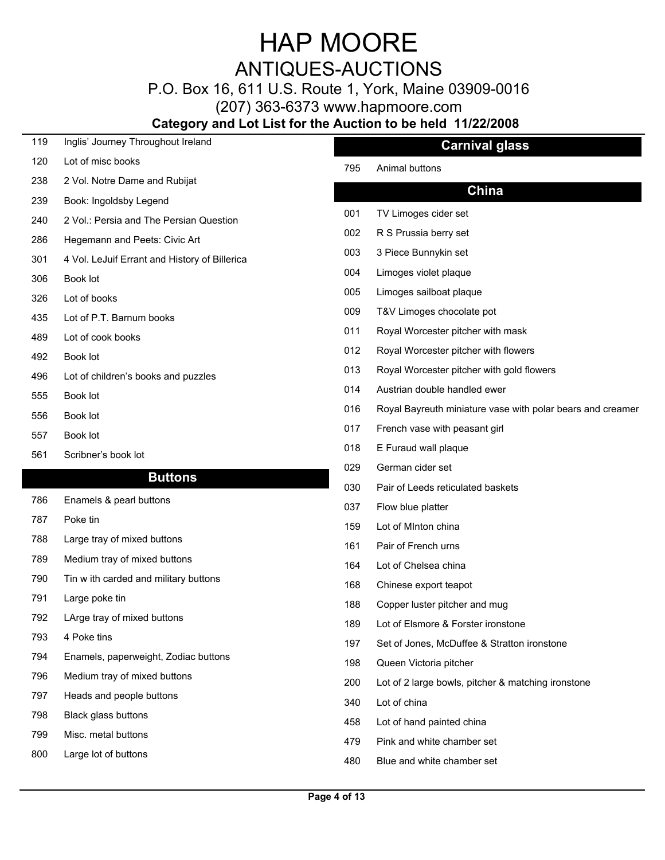P.O. Box 16, 611 U.S. Route 1, York, Maine 03909-0016

(207) 363-6373 www.hapmoore.com

**Category and Lot List for the Auction to be held 11/22/2008**

### **Carnival glass**

795 Animal buttons 116.000 Carnival glass 116.000 Carnival glass 116.00 Carnival glass 116.000 Carnival glass

| 119 | Inglis' Journey Throughout Ireland            |        | <b>Carnival glass</b>                                      |
|-----|-----------------------------------------------|--------|------------------------------------------------------------|
| 120 | Lot of misc books                             | 795    | Animal buttons                                             |
| 238 | 2 Vol. Notre Dame and Rubijat                 |        | China                                                      |
| 239 | Book: Ingoldsby Legend                        |        |                                                            |
| 240 | 2 Vol.: Persia and The Persian Question       | 001    | TV Limoges cider set                                       |
| 286 | Hegemann and Peets: Civic Art                 | 002    | R S Prussia berry set                                      |
| 301 | 4 Vol. LeJuif Errant and History of Billerica | 003    | 3 Piece Bunnykin set                                       |
| 306 | Book lot                                      | 004    | Limoges violet plaque                                      |
| 326 | Lot of books                                  | 005    | Limoges sailboat plaque                                    |
| 435 | Lot of P.T. Barnum books                      | 009    | T&V Limoges chocolate pot                                  |
| 489 | Lot of cook books                             | 011    | Royal Worcester pitcher with mask                          |
| 492 | Book lot                                      | 012    | Royal Worcester pitcher with flowers                       |
| 496 | Lot of children's books and puzzles           | 013    | Royal Worcester pitcher with gold flowers                  |
| 555 | Book lot                                      | 014    | Austrian double handled ewer                               |
| 556 | Book lot                                      | 016    | Royal Bayreuth miniature vase with polar bears and creamer |
| 557 | Book lot                                      | 017    | French vase with peasant girl                              |
| 561 | Scribner's book lot                           | 018    | E Furaud wall plaque                                       |
|     | <b>Buttons</b>                                | 029    | German cider set                                           |
|     |                                               | 030    | Pair of Leeds reticulated baskets                          |
| 786 | Enamels & pearl buttons                       | 037    | Flow blue platter                                          |
| 787 | Poke tin                                      | 159    | Lot of MInton china                                        |
| 788 | Large tray of mixed buttons                   | 161    | Pair of French urns                                        |
| 789 | Medium tray of mixed buttons                  | 164    | Lot of Chelsea china                                       |
| 790 | Tin w ith carded and military buttons         | 168    | Chinese export teapot                                      |
| 791 | Large poke tin                                | 188    | Copper luster pitcher and mug                              |
| 792 | LArge tray of mixed buttons                   | $\sim$ |                                                            |

- 
- 794 Enamels, paperweight, Zodiac buttons 116.000 Buttons
- 796 Medium tray of mixed buttons 116.000 Buttons 120.000 Buttons 120.000 Buttons 120.000 Buttons 120
- 797 Heads and people buttons
- 798 Black glass buttons 116.000 Buttons 116.000 Buttons 116.000 Buttons 116.00 Buttons 116.000 Buttons 116.00
- 799 Misc. metal buttons 116.000 Buttons 116.000 Buttons 116.000 Buttons 116.000 Buttons 116.000 Buttons 116.00
- 800 Large lot of buttons 116.000 Buttons 116.000 Buttons 116.000 Buttons 116.000 Buttons 116.000 Buttons 116.00

| 238 | 2 Vol. Notre Dame and Rubijat                 |     |                                                            |
|-----|-----------------------------------------------|-----|------------------------------------------------------------|
| 239 | Book: Ingoldsby Legend                        |     | China                                                      |
| 240 | 2 Vol.: Persia and The Persian Question       | 001 | TV Limoges cider set                                       |
| 286 | Hegemann and Peets: Civic Art                 | 002 | R S Prussia berry set                                      |
| 301 | 4 Vol. LeJuif Errant and History of Billerica | 003 | 3 Piece Bunnykin set                                       |
| 306 | Book lot                                      | 004 | Limoges violet plaque                                      |
| 326 | Lot of books                                  | 005 | Limoges sailboat plaque                                    |
| 435 | Lot of P.T. Barnum books                      | 009 | T&V Limoges chocolate pot                                  |
| 489 | Lot of cook books                             | 011 | Royal Worcester pitcher with mask                          |
| 492 | Book lot                                      | 012 | Royal Worcester pitcher with flowers                       |
| 496 | Lot of children's books and puzzles           | 013 | Royal Worcester pitcher with gold flowers                  |
| 555 | Book lot                                      | 014 | Austrian double handled ewer                               |
| 556 | Book lot                                      | 016 | Royal Bayreuth miniature vase with polar bears and creamer |
| 557 | Book lot                                      | 017 | French vase with peasant girl                              |
| 561 | Scribner's book lot                           | 018 | E Furaud wall plaque                                       |
|     |                                               | 029 | German cider set                                           |
|     | <b>Buttons</b>                                | 030 | Pair of Leeds reticulated baskets                          |
| 786 | Enamels & pearl buttons                       | 037 | Flow blue platter                                          |
| 787 | Poke tin                                      | 159 | Lot of MInton china                                        |
| 788 | Large tray of mixed buttons                   | 161 | Pair of French urns                                        |
| 789 | Medium tray of mixed buttons                  | 164 | Lot of Chelsea china                                       |
| 790 | Tin w ith carded and military buttons         | 168 | Chinese export teapot                                      |
| 791 | Large poke tin                                | 188 | Copper luster pitcher and mug                              |
| 792 | LArge tray of mixed buttons                   | 189 | Lot of Elsmore & Forster ironstone                         |
| 793 | 4 Poke tins                                   | 197 | Set of Jones, McDuffee & Stratton ironstone                |
| 794 | Enamels, paperweight, Zodiac buttons          | 198 | Queen Victoria pitcher                                     |
| 796 | Medium tray of mixed buttons                  | 200 | Lot of 2 large bowls, pitcher & matching ironstone         |
| 797 | Heads and people buttons                      | 340 | Lot of china                                               |
| 798 | Black glass buttons                           | 458 | Lot of hand painted china                                  |
|     |                                               |     |                                                            |
| 799 | Misc. metal buttons                           | 479 | Pink and white chamber set                                 |

Blue and white chamber set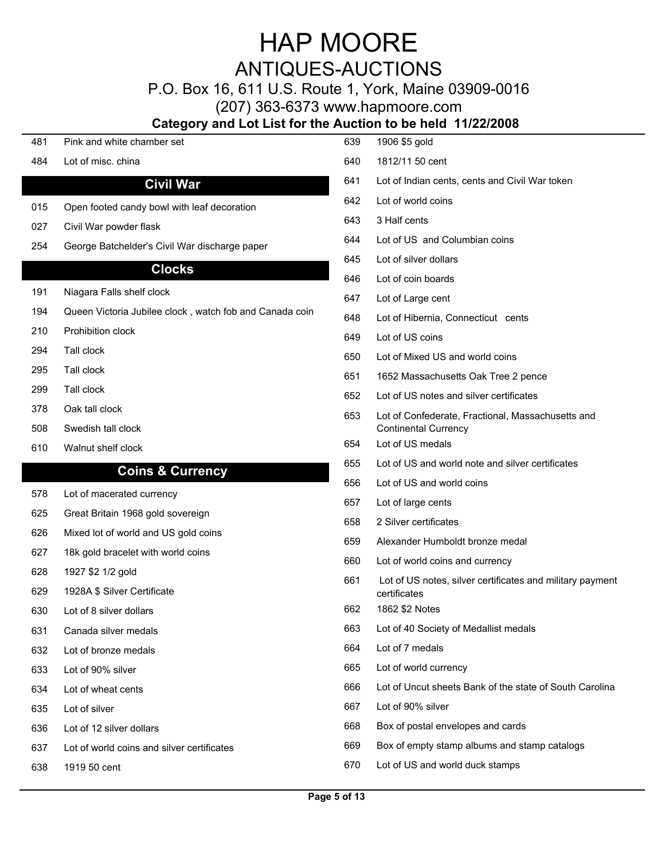P.O. Box 16, 611 U.S. Route 1, York, Maine 03909-0016

(207) 363-6373 www.hapmoore.com

#### **Category and Lot List for the A**

481 Pink and white chamber set 484 Lot of misc. china 116.000 China 116.000 China 116.000 China 116.000 China 116.000 China 116.000 China 116 **Civil War** 015 Open footed candy bowl with leaf decoration 027 Civil War powder flask 254 George Batchelder's Civil War discharge paper **Clocks** 191 Niagara Falls shelf clock 194 Queen Victoria Jubilee clock, watch fob and Canada coin 210 Prohibition clock 200 Clocks and 210 Clocks 210 Clocks and 216.000 Clocks 210.000 Clocks 200 Clocks 200 Clocks 200 Clocks 200 Clocks 200 Clocks 200 Clocks 200 Clocks 200 Clocks 200 Clocks 200 Clocks 200 Clocks 200 Cloc 294 Tall clock **116.000 Clocks and the Clocks of Clocks and Clocks and Clocks and Clocks and Clocks and Clocks and Clocks and Clocks and Clocks and Clocks and Clocks and Clocks and Clocks and Clocks and Clocks and Clocks a** 295 Tall clock the contract of the contract of the contract of the contract of the contract of the contract of the contract of the contract of the contract of the contract of the contract of the contract of the contract of 299 Tall clock the contribution of the contribution of the contribution of the contribution of the contribution of the contribution of the contribution of the contribution of the contribution of the contribution of the con 378 Oak tall clock the contract of the contract of the contract of Confederate Fractional Massachusetts and 508 Swedish tall clock **116.000 Clocks 116.000 Continental Currency** Continental Currency 610 Walnut shelf clock **116.000 Clocks in the clock of the clocks** 116.000 Control of the clocks in the clocks in the clocks in the clocks in the clocks in the clocks in the clocks in the clocks in the clocks in the clocks **Coins & Currency** 578 Lot of macerated currency 625 Great Britain 1968 gold sovereign 626 Mixed lot of world and US gold coins 627 18k gold bracelet with world coins 628 1927 \$2 1/2 gold 116.00 Coins & Currency and Coins & Currency and Currency and Currency and Currency and 629 1928A \$ Silver Certificate  $630$  Lot of 8 silver dollars  $662$  Coins  $662$  Coins  $662$  Coins  $662$  Coins  $662$  Coins  $662$  Coins  $662$  Coins  $662$  Coins  $662$  Coins  $662$  Coins  $662$  Coins  $662$  Coins  $662$  Coins  $662$  Coins  $662$  Coins  $662$  Coins 631 Canada silver medals 116.000 Coins Coins Coins Coins Coins Coins Coins Coins Coins Coins Coins Coins Coins 632 Lot of bronze medals **116.000 Coins & Coins & Coins & Coins & Coins & Currency** Coins & Currency Coins & Currency Coins & Currency Coins & Currency Coins & Currency Coins & Currency Coins & Currency Coins & Currency Co 633 Lot of 90% silver the compact of the Currency of Coins and Currency constant of the Currency of Currency of Currency of Currency of Currency of Currency of Currency of Currency of Currency of Currency of Currency of Cu 634 Lot of wheat cents **116.000 Coins and Coins Access** 666 Cot of Uncut sheets Bank of the state of South Carolina 635 Lot of silver the compact of the coins of the coins of the coins of the coins of the coins of the coins of the coins of the coins of the coins of the coins of the coins of the coins of the coins of the coins of the coi 636 Lot of 12 silver dollars in the compact of the coincidence of the Coins Box of postal envelopes and cards  $\sim$ 637 Lot of world coins and silver certificates 116.000 Coins 669 Box of empty stamp albums and stamp catalogs 638 1919 50 cent 116.00 Coins & Currency Coins & Coins & Coins & Currency Coins & Currency Coins & Currency Coins & Currency Coins & Currency Coins & Currency Coins & Currency Coins & Currency Coins & Currency Coins & Curr

|     | uction to be held 11/22/2008                                                     |
|-----|----------------------------------------------------------------------------------|
| 639 | 1906 \$5 gold                                                                    |
| 640 | 1812/11 50 cent                                                                  |
| 641 | Lot of Indian cents, cents and Civil War token                                   |
| 642 | Lot of world coins                                                               |
| 643 | 3 Half cents                                                                     |
| 644 | Lot of US and Columbian coins                                                    |
| 645 | Lot of silver dollars                                                            |
| 646 | Lot of coin boards                                                               |
| 647 | Lot of Large cent                                                                |
| 648 | Lot of Hibernia, Connecticut cents                                               |
| 649 | Lot of US coins                                                                  |
| 650 | Lot of Mixed US and world coins                                                  |
| 651 | 1652 Massachusetts Oak Tree 2 pence                                              |
| 652 | Lot of US notes and silver certificates                                          |
| 653 | Lot of Confederate, Fractional, Massachusetts and<br><b>Continental Currency</b> |
| 654 | Lot of US medals                                                                 |
| 655 | Lot of US and world note and silver certificates                                 |
| 656 | Lot of US and world coins                                                        |
| 657 | Lot of large cents                                                               |
| 658 | 2 Silver certificates                                                            |
| 659 | Alexander Humboldt bronze medal                                                  |
| 660 | Lot of world coins and currency                                                  |
| 661 | Lot of US notes, silver certificates and military payment<br>certificates        |
| 662 | 1862 \$2 Notes                                                                   |
| 663 | Lot of 40 Society of Medallist medals                                            |
| 664 | Lot of 7 medals                                                                  |
| 665 | Lot of world currency                                                            |
| 666 | Lot of Uncut sheets Bank of the state of South Carolina                          |
| 667 | Lot of 90% silver                                                                |
| 668 | Box of postal envelopes and cards                                                |
| 669 | Box of empty stamp albums and stamp catalogs                                     |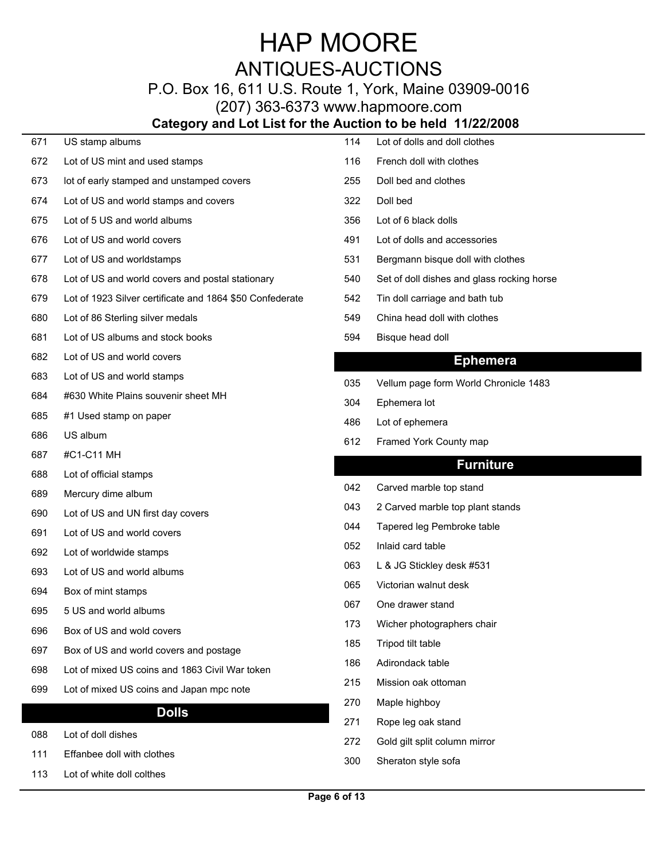P.O. Box 16, 611 U.S. Route 1, York, Maine 03909-0016

(207) 363-6373 www.hapmoore.com

#### **Category and Lot List for the Auction to be held 11/22/2008**

| 671 | US stamp albums                                          | 114 | Lot of dolls and doll clothes              |
|-----|----------------------------------------------------------|-----|--------------------------------------------|
| 672 | Lot of US mint and used stamps                           | 116 | French doll with clothes                   |
| 673 | lot of early stamped and unstamped covers                | 255 | Doll bed and clothes                       |
| 674 | Lot of US and world stamps and covers                    | 322 | Doll bed                                   |
| 675 | Lot of 5 US and world albums                             | 356 | Lot of 6 black dolls                       |
| 676 | Lot of US and world covers                               | 491 | Lot of dolls and accessories               |
| 677 | Lot of US and worldstamps                                | 531 | Bergmann bisque doll with clothes          |
| 678 | Lot of US and world covers and postal stationary         | 540 | Set of doll dishes and glass rocking horse |
| 679 | Lot of 1923 Silver certificate and 1864 \$50 Confederate | 542 | Tin doll carriage and bath tub             |
| 680 | Lot of 86 Sterling silver medals                         | 549 | China head doll with clothes               |
| 681 | Lot of US albums and stock books                         | 594 | Bisque head doll                           |
| 682 | Lot of US and world covers                               |     | <b>Ephemera</b>                            |
| 683 | Lot of US and world stamps                               | 035 | Vellum page form World Chronicle 1483      |
| 684 | #630 White Plains souvenir sheet MH                      | 304 | Ephemera lot                               |
| 685 | #1 Used stamp on paper                                   | 486 | Lot of ephemera                            |
| 686 | US album                                                 | 612 | Framed York County map                     |
| 687 | #C1-C11 MH                                               |     |                                            |
| 688 | Lot of official stamps                                   |     | <b>Furniture</b>                           |
| 689 | Mercury dime album                                       | 042 | Carved marble top stand                    |
| 690 | Lot of US and UN first day covers                        | 043 | 2 Carved marble top plant stands           |
| 691 | Lot of US and world covers                               | 044 | Tapered leg Pembroke table                 |
| 692 | Lot of worldwide stamps                                  | 052 | Inlaid card table                          |
| 693 | Lot of US and world albums                               | 063 | L & JG Stickley desk #531                  |
| 694 | Box of mint stamps                                       | 065 | Victorian walnut desk                      |
| 695 | 5 US and world albums                                    | 067 | One drawer stand                           |
| 696 | Box of US and wold covers                                | 173 | Wicher photographers chair                 |
| 697 | Box of US and world covers and postage                   | 185 | Tripod tilt table                          |
| 698 | Lot of mixed US coins and 1863 Civil War token           | 186 | Adirondack table                           |
| 699 | Lot of mixed US coins and Japan mpc note                 | 215 | Mission oak ottoman                        |
|     | <b>Dolls</b>                                             | 270 | Maple highboy                              |
|     |                                                          | 271 | Rope leg oak stand                         |

- 088 Lot of doll dishes 116.000 Dolls and the 116.000 Dolls and the 116.000 Dolls and the 116.000 Dolls and the 1 272 Gold gilt split column mirror
- 111 Effanbee doll with clothes 116.000 Dolls 116.000 Dolls 116.000 Dolls 116.000 Dolls 116.000 Dolls 116.000 Dolls 116.000 Dolls 116.00 Dolls 116.00 Dolls 116.00 Dolls 116.00 Dolls 116.00 Dolls 116.00 Dolls 116.00 Dolls 11 Sheraton style sofa

113 Lot of white doll colthes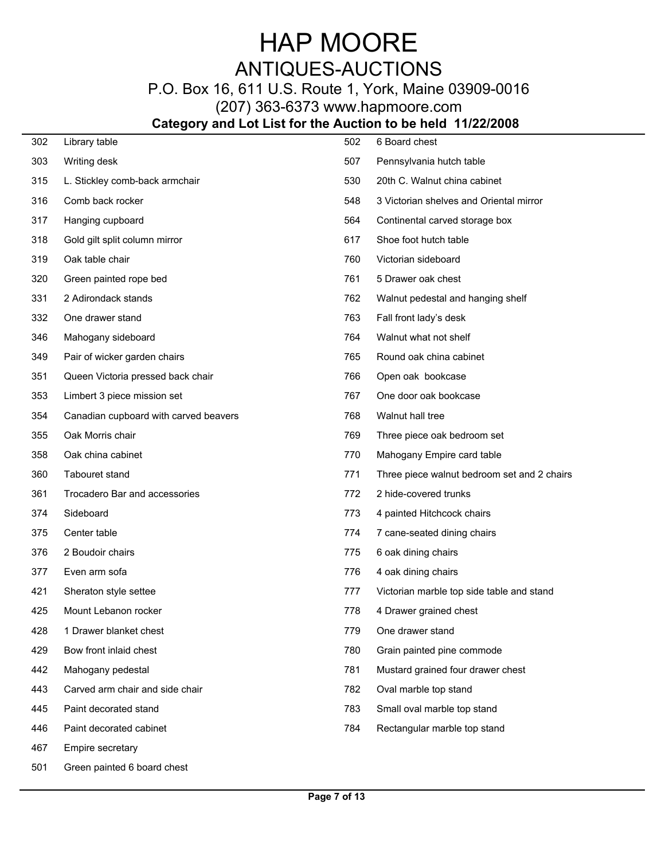P.O. Box 16, 611 U.S. Route 1, York, Maine 03909-0016

(207) 363-6373 www.hapmoore.com

| 302 | Library table                         | 502 | 6 Board chest                               |
|-----|---------------------------------------|-----|---------------------------------------------|
| 303 | Writing desk                          | 507 | Pennsylvania hutch table                    |
| 315 | L. Stickley comb-back armchair        | 530 | 20th C. Walnut china cabinet                |
| 316 | Comb back rocker                      | 548 | 3 Victorian shelves and Oriental mirror     |
| 317 | Hanging cupboard                      | 564 | Continental carved storage box              |
| 318 | Gold gilt split column mirror         | 617 | Shoe foot hutch table                       |
| 319 | Oak table chair                       | 760 | Victorian sideboard                         |
| 320 | Green painted rope bed                | 761 | 5 Drawer oak chest                          |
| 331 | 2 Adirondack stands                   | 762 | Walnut pedestal and hanging shelf           |
| 332 | One drawer stand                      | 763 | Fall front lady's desk                      |
| 346 | Mahogany sideboard                    | 764 | Walnut what not shelf                       |
| 349 | Pair of wicker garden chairs          | 765 | Round oak china cabinet                     |
| 351 | Queen Victoria pressed back chair     | 766 | Open oak bookcase                           |
| 353 | Limbert 3 piece mission set           | 767 | One door oak bookcase                       |
| 354 | Canadian cupboard with carved beavers | 768 | Walnut hall tree                            |
| 355 | Oak Morris chair                      | 769 | Three piece oak bedroom set                 |
| 358 | Oak china cabinet                     | 770 | Mahogany Empire card table                  |
| 360 | Tabouret stand                        | 771 | Three piece walnut bedroom set and 2 chairs |
| 361 | Trocadero Bar and accessories         | 772 | 2 hide-covered trunks                       |
| 374 | Sideboard                             | 773 | 4 painted Hitchcock chairs                  |
| 375 | Center table                          | 774 | 7 cane-seated dining chairs                 |
| 376 | 2 Boudoir chairs                      | 775 | 6 oak dining chairs                         |
| 377 | Even arm sofa                         | 776 | 4 oak dining chairs                         |
| 421 | Sheraton style settee                 | 777 | Victorian marble top side table and stand   |
| 425 | Mount Lebanon rocker                  | 778 | 4 Drawer grained chest                      |
| 428 | 1 Drawer blanket chest                | 779 | One drawer stand                            |
| 429 | Bow front inlaid chest                | 780 | Grain painted pine commode                  |
| 442 | Mahogany pedestal                     | 781 | Mustard grained four drawer chest           |
| 443 | Carved arm chair and side chair       | 782 | Oval marble top stand                       |
| 445 | Paint decorated stand                 | 783 | Small oval marble top stand                 |
| 446 | Paint decorated cabinet               | 784 | Rectangular marble top stand                |
| 467 | Empire secretary                      |     |                                             |
| 501 | Green painted 6 board chest           |     |                                             |
|     |                                       |     |                                             |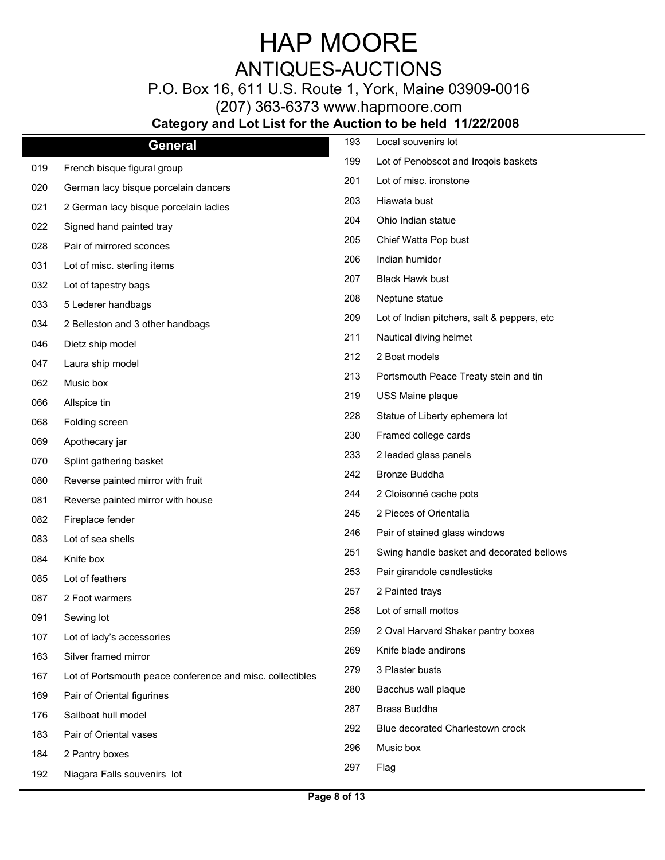P.O. Box 16, 611 U.S. Route 1, York, Maine 03909-0016

(207) 363-6373 www.hapmoore.com

|     | <b>General</b>                                            | 193 | Local souvenirs lot                         |
|-----|-----------------------------------------------------------|-----|---------------------------------------------|
| 019 | French bisque figural group                               | 199 | Lot of Penobscot and Iroqois baskets        |
| 020 | German lacy bisque porcelain dancers                      | 201 | Lot of misc. ironstone                      |
| 021 | 2 German lacy bisque porcelain ladies                     | 203 | Hiawata bust                                |
| 022 | Signed hand painted tray                                  | 204 | Ohio Indian statue                          |
| 028 | Pair of mirrored sconces                                  | 205 | Chief Watta Pop bust                        |
| 031 | Lot of misc. sterling items                               | 206 | Indian humidor                              |
| 032 | Lot of tapestry bags                                      | 207 | <b>Black Hawk bust</b>                      |
| 033 | 5 Lederer handbags                                        | 208 | Neptune statue                              |
| 034 | 2 Belleston and 3 other handbags                          | 209 | Lot of Indian pitchers, salt & peppers, etc |
| 046 | Dietz ship model                                          | 211 | Nautical diving helmet                      |
| 047 | Laura ship model                                          | 212 | 2 Boat models                               |
| 062 | Music box                                                 | 213 | Portsmouth Peace Treaty stein and tin       |
| 066 | Allspice tin                                              | 219 | USS Maine plaque                            |
| 068 | Folding screen                                            | 228 | Statue of Liberty ephemera lot              |
| 069 | Apothecary jar                                            | 230 | Framed college cards                        |
| 070 | Splint gathering basket                                   | 233 | 2 leaded glass panels                       |
| 080 | Reverse painted mirror with fruit                         | 242 | Bronze Buddha                               |
| 081 | Reverse painted mirror with house                         | 244 | 2 Cloisonné cache pots                      |
| 082 | Fireplace fender                                          | 245 | 2 Pieces of Orientalia                      |
| 083 | Lot of sea shells                                         | 246 | Pair of stained glass windows               |
| 084 | Knife box                                                 | 251 | Swing handle basket and decorated bellows   |
| 085 | Lot of feathers                                           | 253 | Pair girandole candlesticks                 |
| 087 | 2 Foot warmers                                            | 257 | 2 Painted trays                             |
| 091 | Sewing lot                                                | 258 | Lot of small mottos                         |
| 107 | Lot of lady's accessories                                 | 259 | 2 Oval Harvard Shaker pantry boxes          |
| 163 | Silver framed mirror                                      | 269 | Knife blade andirons                        |
| 167 | Lot of Portsmouth peace conference and misc. collectibles | 279 | 3 Plaster busts                             |
| 169 | Pair of Oriental figurines                                | 280 | Bacchus wall plaque                         |
| 176 | Sailboat hull model                                       | 287 | <b>Brass Buddha</b>                         |
| 183 | Pair of Oriental vases                                    | 292 | Blue decorated Charlestown crock            |
| 184 | 2 Pantry boxes                                            | 296 | Music box                                   |
| 192 | Niagara Falls souvenirs lot                               | 297 | Flag                                        |
|     |                                                           |     |                                             |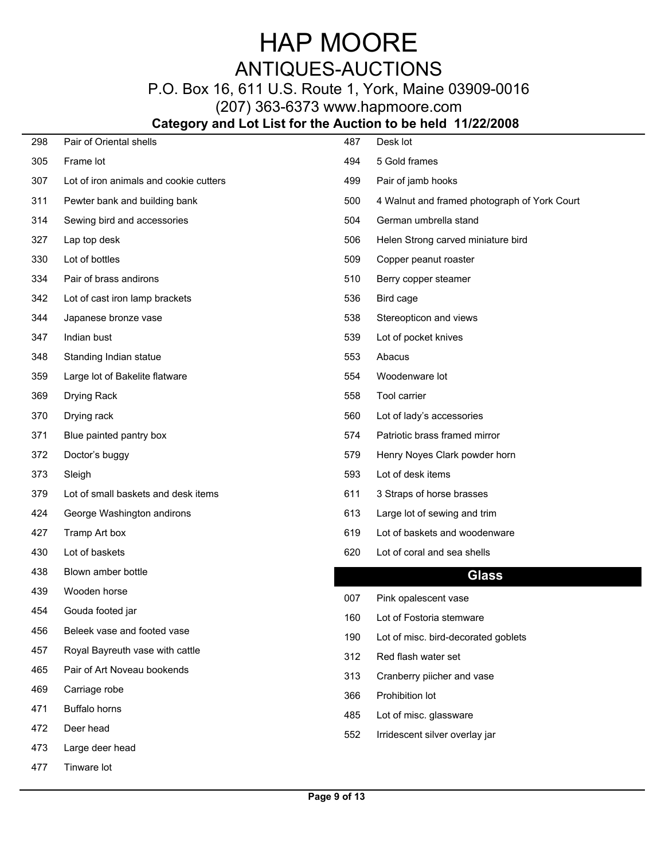### P.O. Box 16, 611 U.S. Route 1, York, Maine 03909-0016

(207) 363-6373 www.hapmoore.com

| 298 | Pair of Oriental shells                | 487 | Desk lot                                     |
|-----|----------------------------------------|-----|----------------------------------------------|
| 305 | Frame lot                              | 494 | 5 Gold frames                                |
| 307 | Lot of iron animals and cookie cutters | 499 | Pair of jamb hooks                           |
| 311 | Pewter bank and building bank          | 500 | 4 Walnut and framed photograph of York Court |
| 314 | Sewing bird and accessories            | 504 | German umbrella stand                        |
| 327 | Lap top desk                           | 506 | Helen Strong carved miniature bird           |
| 330 | Lot of bottles                         | 509 | Copper peanut roaster                        |
| 334 | Pair of brass andirons                 | 510 | Berry copper steamer                         |
| 342 | Lot of cast iron lamp brackets         | 536 | Bird cage                                    |
| 344 | Japanese bronze vase                   | 538 | Stereopticon and views                       |
| 347 | Indian bust                            | 539 | Lot of pocket knives                         |
| 348 | Standing Indian statue                 | 553 | Abacus                                       |
| 359 | Large lot of Bakelite flatware         | 554 | Woodenware lot                               |
| 369 | Drying Rack                            | 558 | Tool carrier                                 |
| 370 | Drying rack                            | 560 | Lot of lady's accessories                    |
| 371 | Blue painted pantry box                | 574 | Patriotic brass framed mirror                |
| 372 | Doctor's buggy                         | 579 | Henry Noyes Clark powder horn                |
| 373 | Sleigh                                 | 593 | Lot of desk items                            |
| 379 | Lot of small baskets and desk items    | 611 | 3 Straps of horse brasses                    |
| 424 | George Washington andirons             | 613 | Large lot of sewing and trim                 |
| 427 | Tramp Art box                          | 619 | Lot of baskets and woodenware                |
| 430 | Lot of baskets                         | 620 | Lot of coral and sea shells                  |
| 438 | Blown amber bottle                     |     | <b>Glass</b>                                 |
| 439 | Wooden horse                           | 007 | Pink opalescent vase                         |
| 454 | Gouda footed jar                       | 160 | Lot of Fostoria stemware                     |
| 456 | Beleek vase and footed vase            | 190 | Lot of misc. bird-decorated goblets          |
| 457 | Royal Bayreuth vase with cattle        | 312 | Red flash water set                          |
| 465 | Pair of Art Noveau bookends            | 313 | Cranberry piicher and vase                   |
| 469 | Carriage robe                          | 366 | Prohibition lot                              |
| 471 | <b>Buffalo horns</b>                   | 485 | Lot of misc. glassware                       |
| 472 | Deer head                              | 552 | Irridescent silver overlay jar               |
| 473 | Large deer head                        |     |                                              |
| 477 | Tinware lot                            |     |                                              |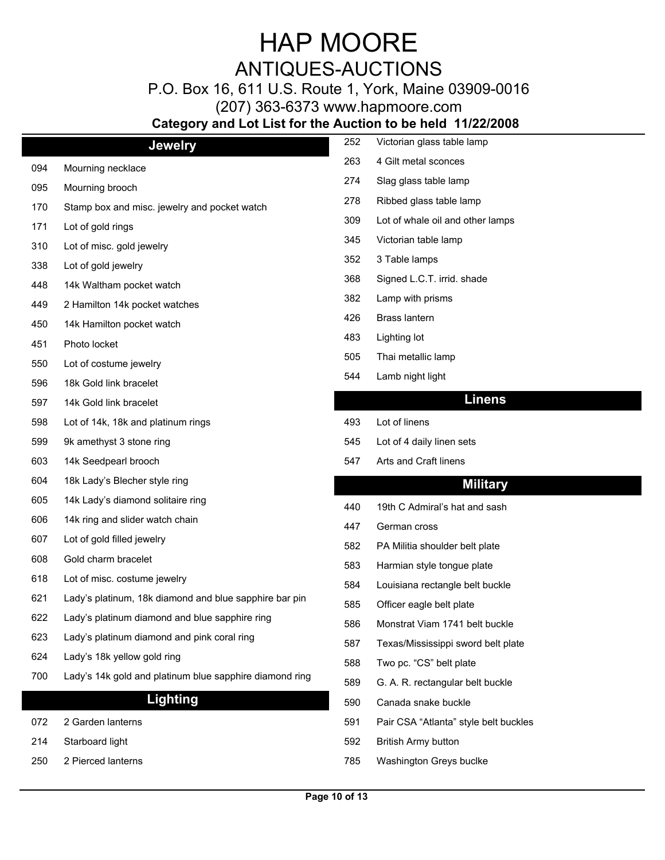P.O. Box 16, 611 U.S. Route 1, York, Maine 03909-0016

(207) 363-6373 www.hapmoore.com

|     | Category and Lot List for the Auction to be held 11/22/2008 |     |                                       |
|-----|-------------------------------------------------------------|-----|---------------------------------------|
|     | <b>Jewelry</b>                                              | 252 | Victorian glass table lamp            |
| 094 | Mourning necklace                                           | 263 | 4 Gilt metal sconces                  |
| 095 | Mourning brooch                                             | 274 | Slag glass table lamp                 |
| 170 | Stamp box and misc. jewelry and pocket watch                | 278 | Ribbed glass table lamp               |
| 171 | Lot of gold rings                                           | 309 | Lot of whale oil and other lamps      |
| 310 | Lot of misc. gold jewelry                                   | 345 | Victorian table lamp                  |
| 338 | Lot of gold jewelry                                         | 352 | 3 Table lamps                         |
| 448 | 14k Waltham pocket watch                                    | 368 | Signed L.C.T. irrid. shade            |
| 449 | 2 Hamilton 14k pocket watches                               | 382 | Lamp with prisms                      |
| 450 | 14k Hamilton pocket watch                                   | 426 | <b>Brass lantern</b>                  |
| 451 | Photo locket                                                | 483 | Lighting lot                          |
| 550 | Lot of costume jewelry                                      | 505 | Thai metallic lamp                    |
| 596 | 18k Gold link bracelet                                      | 544 | Lamb night light                      |
| 597 | 14k Gold link bracelet                                      |     | <b>Linens</b>                         |
| 598 | Lot of 14k, 18k and platinum rings                          | 493 | Lot of linens                         |
| 599 | 9k amethyst 3 stone ring                                    | 545 | Lot of 4 daily linen sets             |
| 603 | 14k Seedpearl brooch                                        | 547 | Arts and Craft linens                 |
| 604 | 18k Lady's Blecher style ring                               |     | <b>Military</b>                       |
| 605 | 14k Lady's diamond solitaire ring                           | 440 | 19th C Admiral's hat and sash         |
| 606 | 14k ring and slider watch chain                             | 447 | German cross                          |
| 607 | Lot of gold filled jewelry                                  | 582 | PA Militia shoulder belt plate        |
| 608 | Gold charm bracelet                                         | 583 | Harmian style tongue plate            |
| 618 | Lot of misc. costume jewelry                                | 584 | Louisiana rectangle belt buckle       |
| 621 | Lady's platinum, 18k diamond and blue sapphire bar pin      | 585 | Officer eagle belt plate              |
| 622 | Lady's platinum diamond and blue sapphire ring              | 586 | Monstrat Viam 1741 belt buckle        |
| 623 | Lady's platinum diamond and pink coral ring                 | 587 | Texas/Mississippi sword belt plate    |
| 624 | Lady's 18k yellow gold ring                                 | 588 | Two pc. "CS" belt plate               |
| 700 | Lady's 14k gold and platinum blue sapphire diamond ring     | 589 | G. A. R. rectangular belt buckle      |
|     | <b>Lighting</b>                                             | 590 | Canada snake buckle                   |
| 072 | 2 Garden lanterns                                           | 591 | Pair CSA "Atlanta" style belt buckles |
| 214 | Starboard light                                             | 592 | <b>British Army button</b>            |
| 250 | 2 Pierced lanterns                                          | 785 | Washington Greys buclke               |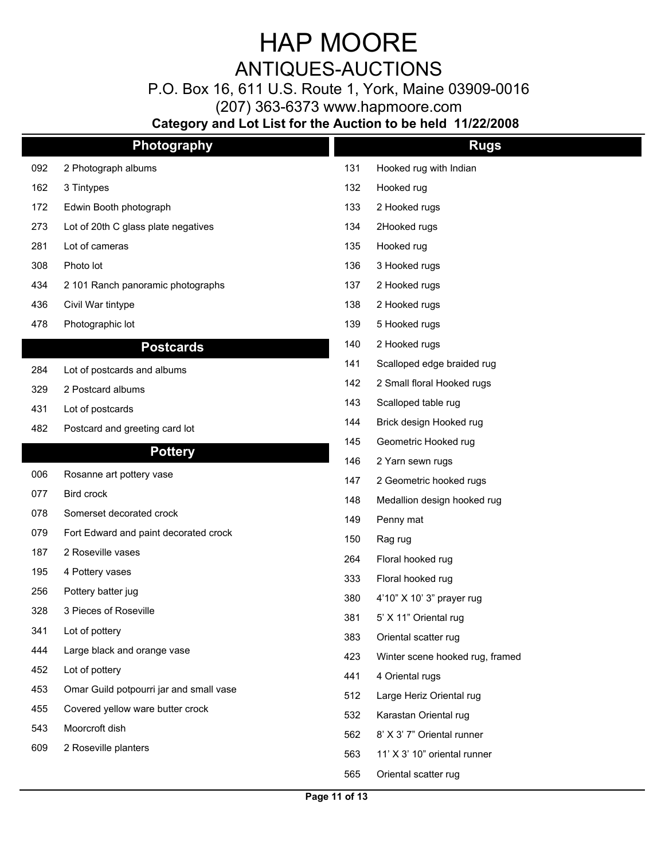P.O. Box 16, 611 U.S. Route 1, York, Maine 03909-0016

(207) 363-6373 www.hapmoore.com

|     | Photography                             |     | <b>Rugs</b>                     |
|-----|-----------------------------------------|-----|---------------------------------|
| 092 | 2 Photograph albums                     | 131 | Hooked rug with Indian          |
| 162 | 3 Tintypes                              | 132 | Hooked rug                      |
| 172 | Edwin Booth photograph                  | 133 | 2 Hooked rugs                   |
| 273 | Lot of 20th C glass plate negatives     | 134 | 2Hooked rugs                    |
| 281 | Lot of cameras                          | 135 | Hooked rug                      |
| 308 | Photo lot                               | 136 | 3 Hooked rugs                   |
| 434 | 2 101 Ranch panoramic photographs       | 137 | 2 Hooked rugs                   |
| 436 | Civil War tintype                       | 138 | 2 Hooked rugs                   |
| 478 | Photographic lot                        | 139 | 5 Hooked rugs                   |
|     | <b>Postcards</b>                        | 140 | 2 Hooked rugs                   |
| 284 | Lot of postcards and albums             | 141 | Scalloped edge braided rug      |
| 329 | 2 Postcard albums                       | 142 | 2 Small floral Hooked rugs      |
| 431 | Lot of postcards                        | 143 | Scalloped table rug             |
| 482 | Postcard and greeting card lot          | 144 | Brick design Hooked rug         |
|     | <b>Pottery</b>                          | 145 | Geometric Hooked rug            |
|     |                                         | 146 | 2 Yarn sewn rugs                |
| 006 | Rosanne art pottery vase                | 147 | 2 Geometric hooked rugs         |
| 077 | Bird crock                              | 148 | Medallion design hooked rug     |
| 078 | Somerset decorated crock                | 149 | Penny mat                       |
| 079 | Fort Edward and paint decorated crock   | 150 | Rag rug                         |
| 187 | 2 Roseville vases                       | 264 | Floral hooked rug               |
| 195 | 4 Pottery vases                         | 333 | Floral hooked rug               |
| 256 | Pottery batter jug                      | 380 | 4'10" X 10' 3" prayer rug       |
| 328 | 3 Pieces of Roseville                   | 381 | 5' X 11" Oriental rug           |
| 341 | Lot of pottery                          | 383 | Oriental scatter rug            |
| 444 | Large black and orange vase             | 423 | Winter scene hooked rug, framed |
| 452 | Lot of pottery                          | 441 | 4 Oriental rugs                 |
| 453 | Omar Guild potpourri jar and small vase | 512 | Large Heriz Oriental rug        |
| 455 | Covered yellow ware butter crock        | 532 | Karastan Oriental rug           |
| 543 | Moorcroft dish                          | 562 | 8' X 3' 7" Oriental runner      |
| 609 | 2 Roseville planters                    | 563 | 11' X 3' 10" oriental runner    |
|     |                                         | 565 | Oriental scatter rug            |
|     |                                         |     |                                 |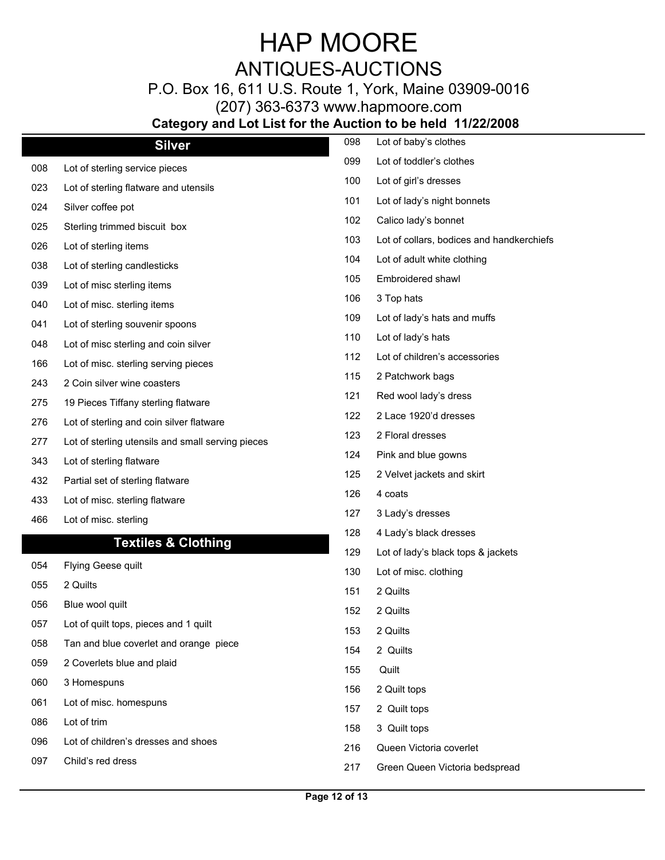P.O. Box 16, 611 U.S. Route 1, York, Maine 03909-0016

(207) 363-6373 www.hapmoore.com

|     | Valegory and Lot List for the Auditori to be held in IZZ/2000 |     |                                           |
|-----|---------------------------------------------------------------|-----|-------------------------------------------|
|     | <b>Silver</b>                                                 | 098 | Lot of baby's clothes                     |
| 008 | Lot of sterling service pieces                                | 099 | Lot of toddler's clothes                  |
| 023 | Lot of sterling flatware and utensils                         | 100 | Lot of girl's dresses                     |
| 024 | Silver coffee pot                                             | 101 | Lot of lady's night bonnets               |
| 025 | Sterling trimmed biscuit box                                  | 102 | Calico lady's bonnet                      |
| 026 | Lot of sterling items                                         | 103 | Lot of collars, bodices and handkerchiefs |
| 038 | Lot of sterling candlesticks                                  | 104 | Lot of adult white clothing               |
| 039 | Lot of misc sterling items                                    | 105 | Embroidered shawl                         |
| 040 | Lot of misc. sterling items                                   | 106 | 3 Top hats                                |
| 041 | Lot of sterling souvenir spoons                               | 109 | Lot of lady's hats and muffs              |
| 048 | Lot of misc sterling and coin silver                          | 110 | Lot of lady's hats                        |
| 166 | Lot of misc. sterling serving pieces                          | 112 | Lot of children's accessories             |
| 243 | 2 Coin silver wine coasters                                   | 115 | 2 Patchwork bags                          |
| 275 | 19 Pieces Tiffany sterling flatware                           | 121 | Red wool lady's dress                     |
| 276 | Lot of sterling and coin silver flatware                      | 122 | 2 Lace 1920'd dresses                     |
| 277 |                                                               | 123 | 2 Floral dresses                          |
|     | Lot of sterling utensils and small serving pieces             | 124 | Pink and blue gowns                       |
| 343 | Lot of sterling flatware                                      | 125 | 2 Velvet jackets and skirt                |
| 432 | Partial set of sterling flatware                              | 126 | 4 coats                                   |
| 433 | Lot of misc. sterling flatware                                | 127 | 3 Lady's dresses                          |
| 466 | Lot of misc. sterling                                         | 128 | 4 Lady's black dresses                    |
|     | <b>Textiles &amp; Clothing</b>                                | 129 | Lot of lady's black tops & jackets        |
| 054 | Flying Geese quilt                                            | 130 | Lot of misc. clothing                     |
| 055 | 2 Quilts                                                      | 151 | 2 Quilts                                  |
| 056 | Blue wool quilt                                               | 152 | 2 Quilts                                  |
| 057 | Lot of quilt tops, pieces and 1 quilt                         | 153 | 2 Quilts                                  |
| 058 | Tan and blue coverlet and orange piece                        | 154 | 2 Quilts                                  |
| 059 | 2 Coverlets blue and plaid                                    | 155 | Quilt                                     |
| 060 | 3 Homespuns                                                   |     |                                           |
| 061 | Lot of misc. homespuns                                        | 156 | 2 Quilt tops                              |
| 086 | Lot of trim                                                   | 157 | 2 Quilt tops                              |
| 096 | Lot of children's dresses and shoes                           | 158 | 3 Quilt tops                              |
| 097 | Child's red dress                                             | 216 | Queen Victoria coverlet                   |
|     |                                                               | 217 | Green Queen Victoria bedspread            |
|     |                                                               |     |                                           |